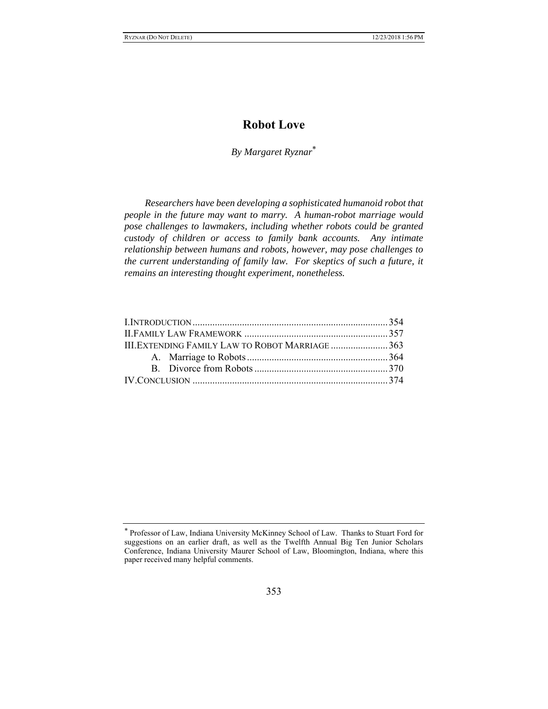# **Robot Love**

*By Margaret Ryznar*

*Researchers have been developing a sophisticated humanoid robot that people in the future may want to marry. A human-robot marriage would pose challenges to lawmakers, including whether robots could be granted custody of children or access to family bank accounts. Any intimate relationship between humans and robots, however, may pose challenges to the current understanding of family law. For skeptics of such a future, it remains an interesting thought experiment, nonetheless.*

| III. EXTENDING FAMILY LAW TO ROBOT MARRIAGE 363 |  |
|-------------------------------------------------|--|
|                                                 |  |
|                                                 |  |
|                                                 |  |

 Professor of Law, Indiana University McKinney School of Law. Thanks to Stuart Ford for suggestions on an earlier draft, as well as the Twelfth Annual Big Ten Junior Scholars Conference, Indiana University Maurer School of Law, Bloomington, Indiana, where this paper received many helpful comments.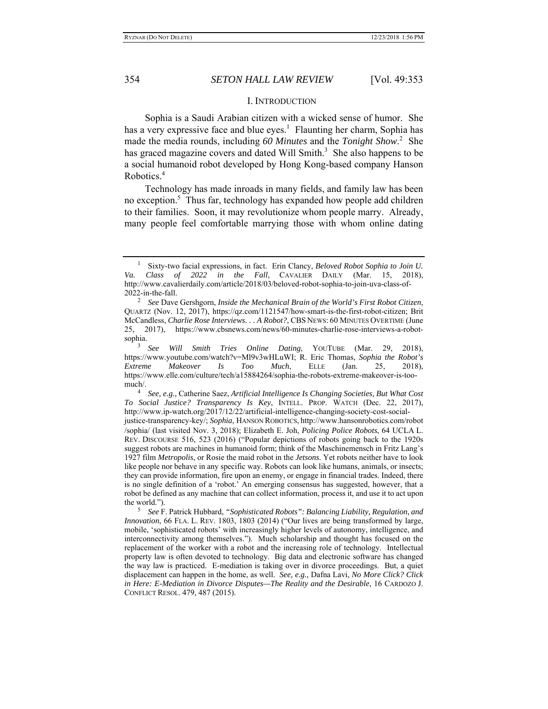#### I. INTRODUCTION

Sophia is a Saudi Arabian citizen with a wicked sense of humor. She has a very expressive face and blue eyes.<sup>1</sup> Flaunting her charm, Sophia has made the media rounds, including *60 Minutes* and the *Tonight Show*. 2 She has graced magazine covers and dated Will Smith. $3$  She also happens to be a social humanoid robot developed by Hong Kong-based company Hanson Robotics.<sup>4</sup>

Technology has made inroads in many fields, and family law has been no exception.<sup>5</sup> Thus far, technology has expanded how people add children to their families. Soon, it may revolutionize whom people marry. Already, many people feel comfortable marrying those with whom online dating

3 *See Will Smith Tries Online Dating*, YOUTUBE (Mar. 29, 2018), https://www.youtube.com/watch?v=Ml9v3wHLuWI; R. Eric Thomas, *Sophia the Robot's Extreme Makeover Is Too Much*, ELLE (Jan. 25, 2018), https://www.elle.com/culture/tech/a15884264/sophia-the-robots-extreme-makeover-is-toomuch/. 4

 *See, e.g.*, Catherine Saez, *Artificial Intelligence Is Changing Societies, But What Cost To Social Justice? Transparency Is Key*, INTELL. PROP. WATCH (Dec. 22, 2017), http://www.ip-watch.org/2017/12/22/artificial-intelligence-changing-society-cost-socialjustice-transparency-key/; *Sophia*, HANSON ROBOTICS, http://www.hansonrobotics.com/robot /sophia/ (last visited Nov. 3, 2018); Elizabeth E. Joh, *Policing Police Robots*, 64 UCLA L. REV. DISCOURSE 516, 523 (2016) ("Popular depictions of robots going back to the 1920s suggest robots are machines in humanoid form; think of the Maschinemensch in Fritz Lang's 1927 film *Metropolis*, or Rosie the maid robot in the *Jetsons*. Yet robots neither have to look like people nor behave in any specific way. Robots can look like humans, animals, or insects; they can provide information, fire upon an enemy, or engage in financial trades. Indeed, there is no single definition of a 'robot.' An emerging consensus has suggested, however, that a robot be defined as any machine that can collect information, process it, and use it to act upon the world.").

<sup>1</sup> Sixty-two facial expressions, in fact. Erin Clancy, *Beloved Robot Sophia to Join U. Va. Class of 2022 in the Fall*, CAVALIER DAILY (Mar. 15, 2018), http://www.cavalierdaily.com/article/2018/03/beloved-robot-sophia-to-join-uva-class-of-2022-in-the-fall. 2

*See* Dave Gershgorn, *Inside the Mechanical Brain of the World's First Robot Citizen*, QUARTZ (Nov. 12, 2017), https://qz.com/1121547/how-smart-is-the-first-robot-citizen; Brit McCandless, *Charlie Rose Interviews. . . A Robot?*, CBS NEWS: 60 MINUTES OVERTIME (June 25, 2017), https://www.cbsnews.com/news/60-minutes-charlie-rose-interviews-a-robotsophia.

*See* F. Patrick Hubbard, *"Sophisticated Robots": Balancing Liability, Regulation, and Innovation*, 66 FLA. L. REV. 1803, 1803 (2014) ("Our lives are being transformed by large, mobile, 'sophisticated robots' with increasingly higher levels of autonomy, intelligence, and interconnectivity among themselves."). Much scholarship and thought has focused on the replacement of the worker with a robot and the increasing role of technology. Intellectual property law is often devoted to technology. Big data and electronic software has changed the way law is practiced. E-mediation is taking over in divorce proceedings. But, a quiet displacement can happen in the home, as well. *See, e.g.*, Dafna Lavi, *No More Click? Click in Here: E-Mediation in Divorce Disputes—The Reality and the Desirable*, 16 CARDOZO J. CONFLICT RESOL. 479, 487 (2015).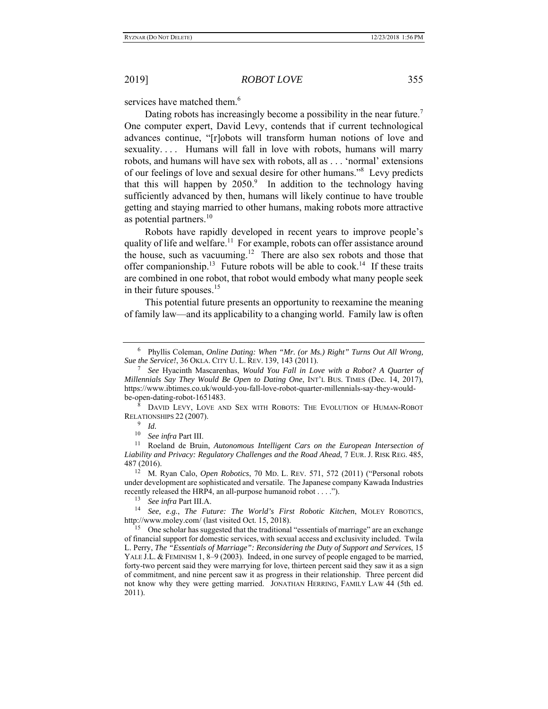services have matched them.<sup>6</sup>

Dating robots has increasingly become a possibility in the near future.<sup>7</sup> One computer expert, David Levy, contends that if current technological advances continue, "[r]obots will transform human notions of love and sexuality.... Humans will fall in love with robots, humans will marry robots, and humans will have sex with robots, all as . . . 'normal' extensions of our feelings of love and sexual desire for other humans."<sup>8</sup> Levy predicts that this will happen by  $2050$ .<sup>9</sup> In addition to the technology having sufficiently advanced by then, humans will likely continue to have trouble getting and staying married to other humans, making robots more attractive as potential partners. $10$ 

Robots have rapidly developed in recent years to improve people's quality of life and welfare.<sup>11</sup> For example, robots can offer assistance around the house, such as vacuuming.<sup>12</sup> There are also sex robots and those that offer companionship.<sup>13</sup> Future robots will be able to cook.<sup>14</sup> If these traits are combined in one robot, that robot would embody what many people seek in their future spouses. $15$ 

This potential future presents an opportunity to reexamine the meaning of family law—and its applicability to a changing world. Family law is often

<sup>6</sup> Phyllis Coleman, *Online Dating: When "Mr. (or Ms.) Right" Turns Out All Wrong, Sue the Service!*, 36 OKLA. CITY U. L. REV. 139, 143 (2011). 7

*See* Hyacinth Mascarenhas, *Would You Fall in Love with a Robot? A Quarter of Millennials Say They Would Be Open to Dating One*, INT'L BUS. TIMES (Dec. 14, 2017), https://www.ibtimes.co.uk/would-you-fall-love-robot-quarter-millennials-say-they-wouldbe-open-dating-robot-1651483.

<sup>8</sup> DAVID LEVY, LOVE AND SEX WITH ROBOTS: THE EVOLUTION OF HUMAN-ROBOT RELATIONSHIPS 22 (2007).

<sup>9</sup> *Id.*

<sup>&</sup>lt;sup>10</sup> See infra Part III.<br><sup>11</sup> Roeland de Bruin, *Autonomous Intelligent Cars on the European Intersection of Liability and Privacy: Regulatory Challenges and the Road Ahead*, 7 EUR. J. RISK REG. 485, 487 (2016). 12 M. Ryan Calo, *Open Robotics*, 70 MD. L. REV. 571, 572 (2011) ("Personal robots

under development are sophisticated and versatile. The Japanese company Kawada Industries recently released the HRP4, an all-purpose humanoid robot . . . .").<br><sup>13</sup> See infra Part III.A.

<sup>&</sup>lt;sup>14</sup> See, e.g., The Future: The World's First Robotic Kitchen, MOLEY ROBOTICS, http://www.moley.com/ (last visited Oct. 15, 2018).

<sup>&</sup>lt;sup>15</sup> One scholar has suggested that the traditional "essentials of marriage" are an exchange of financial support for domestic services, with sexual access and exclusivity included. Twila L. Perry, *The "Essentials of Marriage": Reconsidering the Duty of Support and Services*, 15 YALE J.L. & FEMINISM 1, 8–9 (2003). Indeed, in one survey of people engaged to be married, forty-two percent said they were marrying for love, thirteen percent said they saw it as a sign of commitment, and nine percent saw it as progress in their relationship. Three percent did not know why they were getting married. JONATHAN HERRING, FAMILY LAW 44 (5th ed. 2011).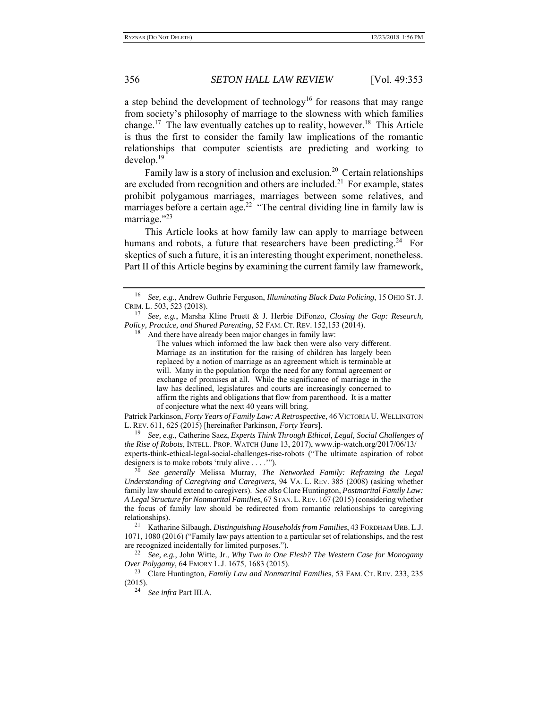a step behind the development of technology<sup>16</sup> for reasons that may range from society's philosophy of marriage to the slowness with which families change.<sup>17</sup> The law eventually catches up to reality, however.<sup>18</sup> This Article is thus the first to consider the family law implications of the romantic relationships that computer scientists are predicting and working to develop.19

Family law is a story of inclusion and exclusion.<sup>20</sup> Certain relationships are excluded from recognition and others are included.<sup>21</sup> For example, states prohibit polygamous marriages, marriages between some relatives, and marriages before a certain age.<sup>22</sup> "The central dividing line in family law is marriage."<sup>23</sup>

This Article looks at how family law can apply to marriage between humans and robots, a future that researchers have been predicting.<sup>24</sup> For skeptics of such a future, it is an interesting thought experiment, nonetheless. Part II of this Article begins by examining the current family law framework,

 $18$  And there have already been major changes in family law:

The values which informed the law back then were also very different. Marriage as an institution for the raising of children has largely been replaced by a notion of marriage as an agreement which is terminable at will. Many in the population forgo the need for any formal agreement or exchange of promises at all. While the significance of marriage in the law has declined, legislatures and courts are increasingly concerned to affirm the rights and obligations that flow from parenthood. It is a matter of conjecture what the next 40 years will bring.

Patrick Parkinson, *Forty Years of Family Law: A Retrospective*, 46 VICTORIA U. WELLINGTON L. REV. 611, 625 (2015) [hereinafter Parkinson, *Forty Years*].

19 *See, e.g.*, Catherine Saez, *Experts Think Through Ethical, Legal, Social Challenges of the Rise of Robots*, INTELL. PROP. WATCH (June 13, 2017), www.ip-watch.org/2017/06/13/ experts-think-ethical-legal-social-challenges-rise-robots ("The ultimate aspiration of robot designers is to make robots 'truly alive . . . .'").

20 *See generally* Melissa Murray, *The Networked Family: Reframing the Legal Understanding of Caregiving and Caregivers*, 94 VA. L. REV. 385 (2008) (asking whether family law should extend to caregivers). *See also* Clare Huntington, *Postmarital Family Law: A Legal Structure for Nonmarital Families*, 67 STAN.L.REV. 167 (2015) (considering whether the focus of family law should be redirected from romantic relationships to caregiving relationships). 21 Katharine Silbaugh, *Distinguishing Households from Families*, 43 FORDHAM URB.L.J.

1071, 1080 (2016) ("Family law pays attention to a particular set of relationships, and the rest are recognized incidentally for limited purposes."). 22 *See, e.g.*, John Witte, Jr., *Why Two in One Flesh? The Western Case for Monogamy* 

*Over Polygamy*, 64 EMORY L.J. 1675, 1683 (2015).

<sup>23</sup> Clare Huntington, *Family Law and Nonmarital Families*, 53 FAM. CT. REV. 233, 235 (2015). 24 *See infra* Part III.A.

<sup>16</sup> *See, e.g.*, Andrew Guthrie Ferguson, *Illuminating Black Data Policing*, 15 OHIO ST.J. CRIM. L. 503, 523 (2018).

<sup>17</sup> *See, e.g.*, Marsha Kline Pruett & J. Herbie DiFonzo, *Closing the Gap: Research, Policy, Practice, and Shared Parenting*, 52 FAM. CT. REV. 152,153 (2014).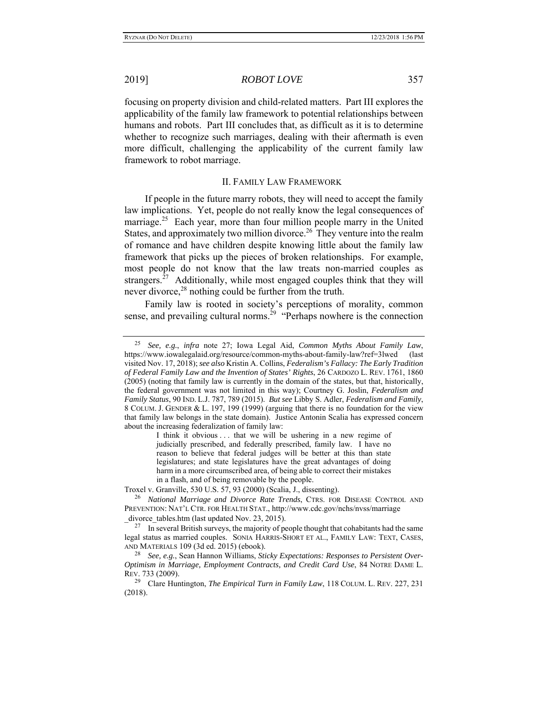focusing on property division and child-related matters. Part III explores the applicability of the family law framework to potential relationships between humans and robots. Part III concludes that, as difficult as it is to determine whether to recognize such marriages, dealing with their aftermath is even more difficult, challenging the applicability of the current family law framework to robot marriage.

#### II. FAMILY LAW FRAMEWORK

If people in the future marry robots, they will need to accept the family law implications. Yet, people do not really know the legal consequences of marriage.<sup>25</sup> Each year, more than four million people marry in the United States, and approximately two million divorce.<sup>26</sup> They venture into the realm of romance and have children despite knowing little about the family law framework that picks up the pieces of broken relationships. For example, most people do not know that the law treats non-married couples as strangers.<sup>27</sup> Additionally, while most engaged couples think that they will never divorce,<sup>28</sup> nothing could be further from the truth.

Family law is rooted in society's perceptions of morality, common sense, and prevailing cultural norms.<sup>29</sup> "Perhaps nowhere is the connection

I think it obvious ... that we will be ushering in a new regime of judicially prescribed, and federally prescribed, family law. I have no reason to believe that federal judges will be better at this than state legislatures; and state legislatures have the great advantages of doing harm in a more circumscribed area, of being able to correct their mistakes in a flash, and of being removable by the people.

Troxel v. Granville, 530 U.S. 57, 93 (2000) (Scalia, J., dissenting).

<sup>25</sup> *See, e.g.*, *infra* note 27; Iowa Legal Aid, *Common Myths About Family Law*, https://www.iowalegalaid.org/resource/common-myths-about-family-law?ref=3lwed (last visited Nov. 17, 2018); *see also* Kristin A. Collins, *Federalism's Fallacy: The Early Tradition of Federal Family Law and the Invention of States' Rights*, 26 CARDOZO L. REV. 1761, 1860 (2005) (noting that family law is currently in the domain of the states, but that, historically, the federal government was not limited in this way); Courtney G. Joslin, *Federalism and Family Status*, 90 IND. L.J. 787, 789 (2015). *But see* Libby S. Adler, *Federalism and Family*, 8 COLUM. J. GENDER & L. 197, 199 (1999) (arguing that there is no foundation for the view that family law belongs in the state domain). Justice Antonin Scalia has expressed concern about the increasing federalization of family law:

<sup>26</sup> *National Marriage and Divorce Rate Trends*, CTRS. FOR DISEASE CONTROL AND PREVENTION: NAT'L CTR. FOR HEALTH STAT., http://www.cdc.gov/nchs/nvss/marriage divorce tables.htm (last updated Nov. 23, 2015).

 $27$  In several British surveys, the majority of people thought that cohabitants had the same legal status as married couples. SONIA HARRIS-SHORT ET AL., FAMILY LAW: TEXT, CASES, AND MATERIALS 109 (3d ed. 2015) (ebook).

<sup>28</sup> *See, e.g.*, Sean Hannon Williams, *Sticky Expectations: Responses to Persistent Over-Optimism in Marriage, Employment Contracts, and Credit Card Use*, 84 NOTRE DAME L. REV. 733 (2009).

<sup>29</sup> Clare Huntington, *The Empirical Turn in Family Law*, 118 COLUM. L. REV. 227, 231 (2018).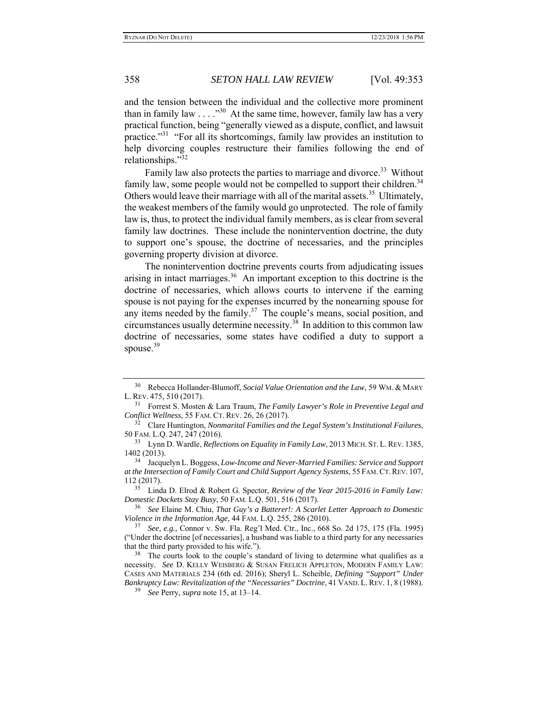and the tension between the individual and the collective more prominent than in family law  $\dots$   $\cdot$   $\cdot$   $\cdot$  At the same time, however, family law has a very practical function, being "generally viewed as a dispute, conflict, and lawsuit practice."<sup>31</sup> "For all its shortcomings, family law provides an institution to help divorcing couples restructure their families following the end of relationships."32

Family law also protects the parties to marriage and divorce.<sup>33</sup> Without family law, some people would not be compelled to support their children.<sup>34</sup> Others would leave their marriage with all of the marital assets.<sup>35</sup> Ultimately, the weakest members of the family would go unprotected. The role of family law is, thus, to protect the individual family members, as is clear from several family law doctrines. These include the nonintervention doctrine, the duty to support one's spouse, the doctrine of necessaries, and the principles governing property division at divorce.

The nonintervention doctrine prevents courts from adjudicating issues arising in intact marriages.<sup>36</sup> An important exception to this doctrine is the doctrine of necessaries, which allows courts to intervene if the earning spouse is not paying for the expenses incurred by the nonearning spouse for any items needed by the family.<sup>37</sup> The couple's means, social position, and circumstances usually determine necessity.<sup>38</sup> In addition to this common law doctrine of necessaries, some states have codified a duty to support a spouse. $39$ 

35 Linda D. Elrod & Robert G. Spector, *Review of the Year 2015-2016 in Family Law: Domestic Dockets Stay Busy*, 50 FAM. L.Q. 501, 516 (2017).

36 *See* Elaine M. Chiu, *That Guy's a Batterer!: A Scarlet Letter Approach to Domestic Violence in the Information Age*, 44 FAM. L.Q. 255, 286 (2010).

37 *See, e.g.*, Connor v. Sw. Fla. Reg'l Med. Ctr., Inc., 668 So. 2d 175, 175 (Fla. 1995) ("Under the doctrine [of necessaries], a husband was liable to a third party for any necessaries that the third party provided to his wife.").

<sup>38</sup> The courts look to the couple's standard of living to determine what qualifies as a necessity. *See* D. KELLY WEISBERG & SUSAN FRELICH APPLETON, MODERN FAMILY LAW: CASES AND MATERIALS 234 (6th ed. 2016); Sheryl L. Scheible, *Defining "Support" Under Bankruptcy Law: Revitalization of the "Necessaries" Doctrine*, 41 VAND. L. REV. 1, 8 (1988).

39 *See* Perry, *supra* note 15, at 13–14.

<sup>30</sup> Rebecca Hollander-Blumoff, *Social Value Orientation and the Law*, 59 WM. & MARY L. REV. 475, 510 (2017).

<sup>31</sup> Forrest S. Mosten & Lara Traum, *The Family Lawyer's Role in Preventive Legal and Conflict Wellness*, 55 FAM. CT. REV. 26, 26 (2017).

<sup>32</sup> Clare Huntington, *Nonmarital Families and the Legal System's Institutional Failures*, 50 FAM. L.Q. 247, 247 (2016).

<sup>33</sup> Lynn D. Wardle, *Reflections on Equality in Family Law*, 2013 MICH. ST. L.REV. 1385, 1402 (2013).

<sup>34</sup> Jacquelyn L. Boggess, *Low-Income and Never-Married Families: Service and Support at the Intersection of Family Court and Child Support Agency Systems*, 55 FAM. CT.REV. 107, 112 (2017).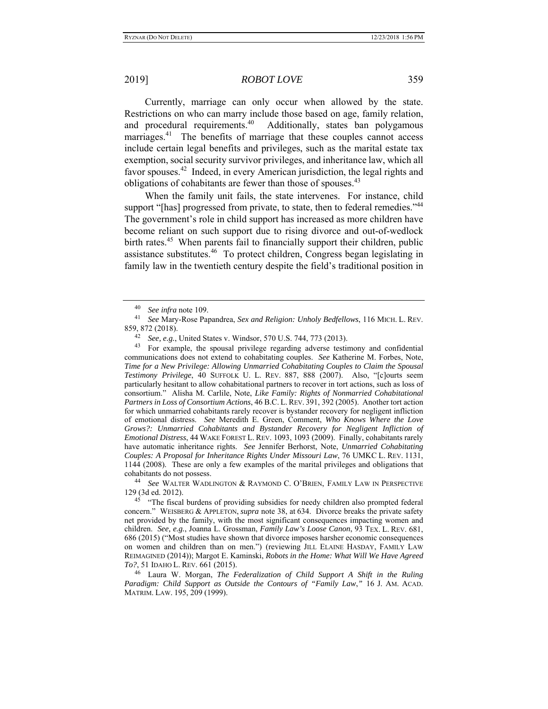Currently, marriage can only occur when allowed by the state. Restrictions on who can marry include those based on age, family relation, and procedural requirements.<sup>40</sup> Additionally, states ban polygamous marriages.<sup>41</sup> The benefits of marriage that these couples cannot access include certain legal benefits and privileges, such as the marital estate tax exemption, social security survivor privileges, and inheritance law, which all favor spouses.42 Indeed, in every American jurisdiction, the legal rights and obligations of cohabitants are fewer than those of spouses.<sup>43</sup>

When the family unit fails, the state intervenes. For instance, child support "[has] progressed from private, to state, then to federal remedies."<sup>44</sup> The government's role in child support has increased as more children have become reliant on such support due to rising divorce and out-of-wedlock birth rates.<sup>45</sup> When parents fail to financially support their children, public assistance substitutes.46 To protect children, Congress began legislating in family law in the twentieth century despite the field's traditional position in

<sup>40</sup>*See infra* note 109. 41 *See* Mary-Rose Papandrea, *Sex and Religion: Unholy Bedfellows*, 116 MICH. L. REV. 859, 872 (2018). 42 *See, e.g.*, United States v. Windsor, 570 U.S. 744, 773 (2013).

<sup>43</sup> For example, the spousal privilege regarding adverse testimony and confidential communications does not extend to cohabitating couples. *See* Katherine M. Forbes, Note, *Time for a New Privilege: Allowing Unmarried Cohabitating Couples to Claim the Spousal Testimony Privilege*, 40 SUFFOLK U. L. REV. 887, 888 (2007). Also, "[c]ourts seem particularly hesitant to allow cohabitational partners to recover in tort actions, such as loss of consortium." Alisha M. Carlile, Note, *Like Family: Rights of Nonmarried Cohabitational Partners in Loss of Consortium Actions*, 46 B.C. L. REV. 391, 392 (2005). Another tort action for which unmarried cohabitants rarely recover is bystander recovery for negligent infliction of emotional distress. *See* Meredith E. Green, Comment, *Who Knows Where the Love Grows?: Unmarried Cohabitants and Bystander Recovery for Negligent Infliction of Emotional Distress*, 44 WAKE FOREST L. REV. 1093, 1093 (2009). Finally, cohabitants rarely have automatic inheritance rights. *See* Jennifer Berhorst, Note, *Unmarried Cohabitating Couples: A Proposal for Inheritance Rights Under Missouri Law*, 76 UMKC L. REV. 1131, 1144 (2008). These are only a few examples of the marital privileges and obligations that cohabitants do not possess. 44 *See* WALTER WADLINGTON & RAYMOND C. O'BRIEN, FAMILY LAW IN PERSPECTIVE

<sup>129 (3</sup>d ed. 2012).

<sup>&</sup>lt;sup>45</sup> "The fiscal burdens of providing subsidies for needy children also prompted federal concern." WEISBERG & APPLETON, *supra* note 38, at 634. Divorce breaks the private safety net provided by the family, with the most significant consequences impacting women and children. *See, e.g.*, Joanna L. Grossman, *Family Law's Loose Canon*, 93 TEX. L. REV. 681, 686 (2015) ("Most studies have shown that divorce imposes harsher economic consequences on women and children than on men.") (reviewing JILL ELAINE HASDAY, FAMILY LAW REIMAGINED (2014)); Margot E. Kaminski, *Robots in the Home: What Will We Have Agreed To?*, 51 IDAHO L. REV. 661 (2015).

<sup>46</sup> Laura W. Morgan, *The Federalization of Child Support A Shift in the Ruling Paradigm: Child Support as Outside the Contours of "Family Law*,*"* 16 J. AM. ACAD. MATRIM. LAW. 195, 209 (1999).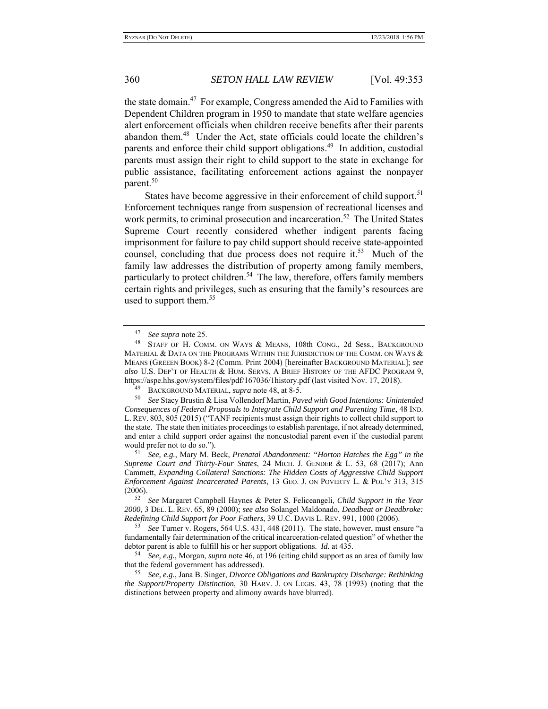the state domain.<sup>47</sup> For example, Congress amended the Aid to Families with Dependent Children program in 1950 to mandate that state welfare agencies alert enforcement officials when children receive benefits after their parents abandon them.<sup>48</sup> Under the Act, state officials could locate the children's parents and enforce their child support obligations.<sup>49</sup> In addition, custodial parents must assign their right to child support to the state in exchange for public assistance, facilitating enforcement actions against the nonpayer parent.<sup>50</sup>

States have become aggressive in their enforcement of child support.<sup>51</sup> Enforcement techniques range from suspension of recreational licenses and work permits, to criminal prosecution and incarceration.<sup>52</sup> The United States Supreme Court recently considered whether indigent parents facing imprisonment for failure to pay child support should receive state-appointed counsel, concluding that due process does not require it.<sup>53</sup> Much of the family law addresses the distribution of property among family members, particularly to protect children.<sup>54</sup> The law, therefore, offers family members certain rights and privileges, such as ensuring that the family's resources are used to support them.<sup>55</sup>

<sup>47</sup> *See supra* note 25.

<sup>48</sup> STAFF OF H. COMM. ON WAYS & MEANS, 108th CONG., 2d Sess., BACKGROUND MATERIAL & DATA ON THE PROGRAMS WITHIN THE JURISDICTION OF THE COMM. ON WAYS  $\&$ MEANS (GREEEN BOOK) 8-2 (Comm. Print 2004) [hereinafter BACKGROUND MATERIAL]; *see also* U.S. DEP'T OF HEALTH & HUM. SERVS, A BRIEF HISTORY OF THE AFDC PROGRAM 9, https://aspe.hhs.gov/system/files/pdf/167036/1history.pdf (last visited Nov. 17, 2018).

<sup>49</sup> BACKGROUND MATERIAL, *supra* note 48, at 8-5.

<sup>50</sup> *See* Stacy Brustin & Lisa Vollendorf Martin, *Paved with Good Intentions: Unintended Consequences of Federal Proposals to Integrate Child Support and Parenting Time*, 48 IND. L. REV. 803, 805 (2015) ("TANF recipients must assign their rights to collect child support to the state. The state then initiates proceedings to establish parentage, if not already determined, and enter a child support order against the noncustodial parent even if the custodial parent would prefer not to do so.").

<sup>51</sup> *See, e.g.*, Mary M. Beck, *Prenatal Abandonment: "Horton Hatches the Egg" in the Supreme Court and Thirty-Four States*, 24 MICH. J. GENDER & L. 53, 68 (2017); Ann Cammett, *Expanding Collateral Sanctions: The Hidden Costs of Aggressive Child Support Enforcement Against Incarcerated Parents*, 13 GEO. J. ON POVERTY L. & POL'Y 313, 315 (2006).

<sup>52</sup> *See* Margaret Campbell Haynes & Peter S. Feliceangeli, *Child Support in the Year 2000*, 3 DEL. L. REV. 65, 89 (2000); *see also* Solangel Maldonado, *Deadbeat or Deadbroke: Redefining Child Support for Poor Fathers*, 39 U.C. DAVIS L. REV. 991, 1000 (2006).

<sup>53</sup> *See* Turner v. Rogers, 564 U.S. 431, 448 (2011). The state, however, must ensure "a fundamentally fair determination of the critical incarceration-related question" of whether the debtor parent is able to fulfill his or her support obligations. *Id.* at 435.

<sup>54</sup> *See, e.g.*, Morgan, *supra* note 46, at 196 (citing child support as an area of family law

<sup>55</sup> *See, e.g., Jana B. Singer, Divorce Obligations and Bankruptcy Discharge: Rethinking the Support/Property Distinction*, 30 HARV. J. ON LEGIS. 43, 78 (1993) (noting that the distinctions between property and alimony awards have blurred).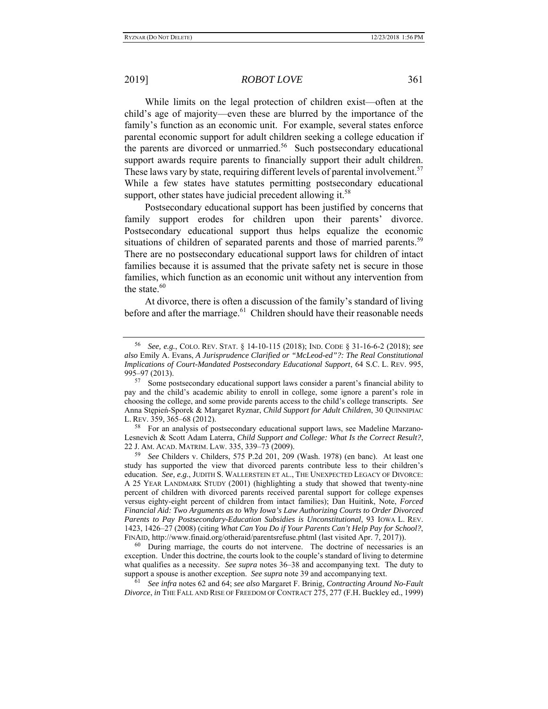While limits on the legal protection of children exist—often at the child's age of majority—even these are blurred by the importance of the family's function as an economic unit. For example, several states enforce parental economic support for adult children seeking a college education if the parents are divorced or unmarried.<sup>56</sup> Such postsecondary educational support awards require parents to financially support their adult children. These laws vary by state, requiring different levels of parental involvement.<sup>57</sup> While a few states have statutes permitting postsecondary educational support, other states have judicial precedent allowing it.<sup>58</sup>

Postsecondary educational support has been justified by concerns that family support erodes for children upon their parents' divorce. Postsecondary educational support thus helps equalize the economic situations of children of separated parents and those of married parents.<sup>59</sup> There are no postsecondary educational support laws for children of intact families because it is assumed that the private safety net is secure in those families, which function as an economic unit without any intervention from the state.<sup>60</sup>

At divorce, there is often a discussion of the family's standard of living before and after the marriage. $61$  Children should have their reasonable needs

<sup>56</sup> *See, e.g.*, COLO. REV. STAT. § 14-10-115 (2018); IND. CODE § 31-16-6-2 (2018); *see also* Emily A. Evans, *A Jurisprudence Clarified or "McLeod-ed"?: The Real Constitutional Implications of Court-Mandated Postsecondary Educational Support*, 64 S.C. L. REV. 995,

<sup>995–97 (2013).&</sup>lt;br><sup>57</sup> Some postsecondary educational support laws consider a parent's financial ability to pay and the child's academic ability to enroll in college, some ignore a parent's role in choosing the college, and some provide parents access to the child's college transcripts. *See*  Anna Stȩpień-Sporek & Margaret Ryznar, *Child Support for Adult Children*, 30 QUINNIPIAC L. REV. 359, 365–68 (2012).

<sup>&</sup>lt;sup>58</sup> For an analysis of postsecondary educational support laws, see Madeline Marzano-Lesnevich & Scott Adam Laterra, *Child Support and College: What Is the Correct Result?*, 22 J. AM. ACAD. MATRIM. LAW. 335, 339–73 (2009).

<sup>59</sup> *See* Childers v. Childers, 575 P.2d 201, 209 (Wash. 1978) (en banc). At least one study has supported the view that divorced parents contribute less to their children's education. *See, e.g.*, JUDITH S. WALLERSTEIN ET AL., THE UNEXPECTED LEGACY OF DIVORCE: A 25 YEAR LANDMARK STUDY (2001) (highlighting a study that showed that twenty-nine percent of children with divorced parents received parental support for college expenses versus eighty-eight percent of children from intact families); Dan Huitink, Note, *Forced Financial Aid: Two Arguments as to Why Iowa's Law Authorizing Courts to Order Divorced Parents to Pay Postsecondary-Education Subsidies is Unconstitutional*, 93 IOWA L. REV. 1423, 1426–27 (2008) (citing *What Can You Do if Your Parents Can't Help Pay for School?*, FINAID, http://www.finaid.org/otheraid/parentsrefuse.phtml (last visited Apr. 7, 2017)).

<sup>&</sup>lt;sup>60</sup> During marriage, the courts do not intervene. The doctrine of necessaries is an exception. Under this doctrine, the courts look to the couple's standard of living to determine what qualifies as a necessity. *See supra* notes 36–38 and accompanying text. The duty to support a spouse is another exception. *See supra* note 39 and accompanying text.

<sup>61</sup> *See infra* notes 62 and 64; *see also* Margaret F. Brinig, *Contracting Around No-Fault Divorce*, *in* THE FALL AND RISE OF FREEDOM OF CONTRACT 275, 277 (F.H. Buckley ed., 1999)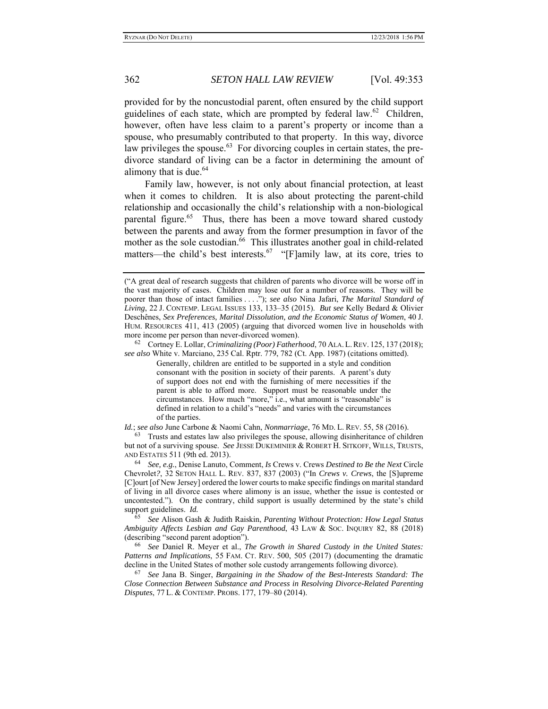provided for by the noncustodial parent, often ensured by the child support guidelines of each state, which are prompted by federal law. $62$  Children, however, often have less claim to a parent's property or income than a spouse, who presumably contributed to that property. In this way, divorce law privileges the spouse.<sup>63</sup> For divorcing couples in certain states, the predivorce standard of living can be a factor in determining the amount of alimony that is due. $64$ 

Family law, however, is not only about financial protection, at least when it comes to children. It is also about protecting the parent-child relationship and occasionally the child's relationship with a non-biological parental figure.<sup>65</sup> Thus, there has been a move toward shared custody between the parents and away from the former presumption in favor of the mother as the sole custodian.<sup>66</sup> This illustrates another goal in child-related matters—the child's best interests.<sup>67</sup> "[F]amily law, at its core, tries to

62 Cortney E. Lollar, *Criminalizing (Poor) Fatherhood*, 70 ALA. L.REV. 125, 137 (2018); *see also* White v. Marciano, 235 Cal. Rptr. 779, 782 (Ct. App. 1987) (citations omitted).

Generally, children are entitled to be supported in a style and condition consonant with the position in society of their parents. A parent's duty of support does not end with the furnishing of mere necessities if the parent is able to afford more. Support must be reasonable under the circumstances. How much "more," i.e., what amount is "reasonable" is defined in relation to a child's "needs" and varies with the circumstances of the parties.

*Id.*; *see also* June Carbone & Naomi Cahn, *Nonmarriage*, 76 MD. L. REV. 55, 58 (2016).

63 Trusts and estates law also privileges the spouse, allowing disinheritance of children but not of a surviving spouse. *See* JESSE DUKEMINIER & ROBERT H. SITKOFF, WILLS, TRUSTS, AND ESTATES 511 (9th ed. 2013).

64 *See, e.g.*, Denise Lanuto, Comment, *Is* Crews v. Crews *Destined to Be the Next* Circle Chevrolet*?*, 32 SETON HALL L. REV. 837, 837 (2003) ("In *Crews v. Crews*, the [S]upreme [C]ourt [of New Jersey] ordered the lower courts to make specific findings on marital standard of living in all divorce cases where alimony is an issue, whether the issue is contested or uncontested."). On the contrary, child support is usually determined by the state's child support guidelines. *Id.* 

65 *See* Alison Gash & Judith Raiskin, *Parenting Without Protection: How Legal Status Ambiguity Affects Lesbian and Gay Parenthood*, 43 LAW & SOC. INQUIRY 82, 88 (2018) (describing "second parent adoption").

66 *See* Daniel R. Meyer et al., *The Growth in Shared Custody in the United States: Patterns and Implications*, 55 FAM. CT. REV. 500, 505 (2017) (documenting the dramatic decline in the United States of mother sole custody arrangements following divorce).

67 *See* Jana B. Singer, *Bargaining in the Shadow of the Best-Interests Standard: The Close Connection Between Substance and Process in Resolving Divorce-Related Parenting Disputes*, 77 L. & CONTEMP. PROBS. 177, 179–80 (2014).

<sup>(&</sup>quot;A great deal of research suggests that children of parents who divorce will be worse off in the vast majority of cases. Children may lose out for a number of reasons. They will be poorer than those of intact families . . . ."); *see also* Nina Jafari, *The Marital Standard of Living*, 22 J. CONTEMP. LEGAL ISSUES 133, 133–35 (2015). *But see* Kelly Bedard & Olivier Deschênes, *Sex Preferences, Marital Dissolution, and the Economic Status of Women*, 40 J. HUM. RESOURCES 411, 413 (2005) (arguing that divorced women live in households with more income per person than never-divorced women).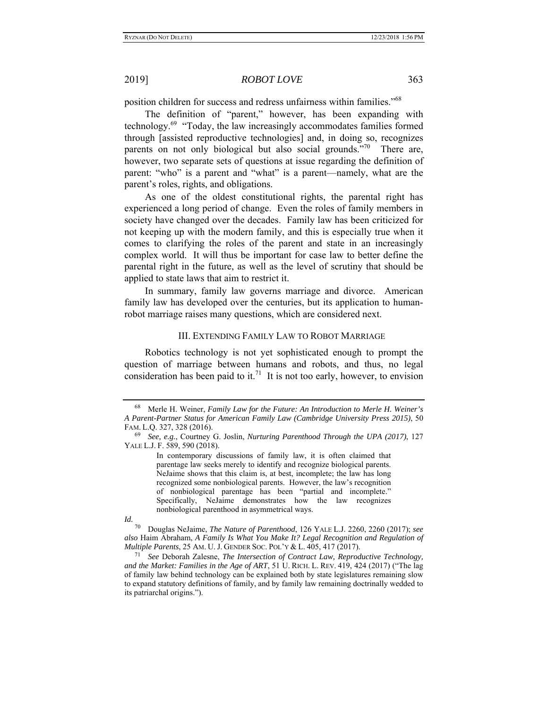position children for success and redress unfairness within families."68

The definition of "parent," however, has been expanding with technology.69 "Today, the law increasingly accommodates families formed through [assisted reproductive technologies] and, in doing so, recognizes parents on not only biological but also social grounds. $170^\circ$  There are, however, two separate sets of questions at issue regarding the definition of parent: "who" is a parent and "what" is a parent—namely, what are the parent's roles, rights, and obligations.

As one of the oldest constitutional rights, the parental right has experienced a long period of change. Even the roles of family members in society have changed over the decades. Family law has been criticized for not keeping up with the modern family, and this is especially true when it comes to clarifying the roles of the parent and state in an increasingly complex world. It will thus be important for case law to better define the parental right in the future, as well as the level of scrutiny that should be applied to state laws that aim to restrict it.

In summary, family law governs marriage and divorce. American family law has developed over the centuries, but its application to humanrobot marriage raises many questions, which are considered next.

#### III. EXTENDING FAMILY LAW TO ROBOT MARRIAGE

Robotics technology is not yet sophisticated enough to prompt the question of marriage between humans and robots, and thus, no legal consideration has been paid to it.<sup>71</sup> It is not too early, however, to envision

In contemporary discussions of family law, it is often claimed that parentage law seeks merely to identify and recognize biological parents. NeJaime shows that this claim is, at best, incomplete; the law has long recognized some nonbiological parents. However, the law's recognition of nonbiological parentage has been "partial and incomplete." Specifically, NeJaime demonstrates how the law recognizes nonbiological parenthood in asymmetrical ways.

<sup>68</sup> Merle H. Weiner, *Family Law for the Future: An Introduction to Merle H. Weiner's A Parent-Partner Status for American Family Law (Cambridge University Press 2015)*, 50 FAM. L.Q. 327, 328 (2016).

<sup>69</sup> *See, e.g.*, Courtney G. Joslin, *Nurturing Parenthood Through the UPA (2017)*, 127 YALE L.J. F. 589, 590 (2018).

*Id.*

<sup>70</sup> Douglas NeJaime, *The Nature of Parenthood*, 126 YALE L.J. 2260, 2260 (2017); *see also* Haim Abraham, *A Family Is What You Make It? Legal Recognition and Regulation of Multiple Parents*, 25 AM. U. J. GENDER SOC. POL'Y & L. 405, 417 (2017).

<sup>71</sup> *See* Deborah Zalesne, *The Intersection of Contract Law, Reproductive Technology, and the Market: Families in the Age of ART*, 51 U. RICH. L. REV. 419, 424 (2017) ("The lag of family law behind technology can be explained both by state legislatures remaining slow to expand statutory definitions of family, and by family law remaining doctrinally wedded to its patriarchal origins.").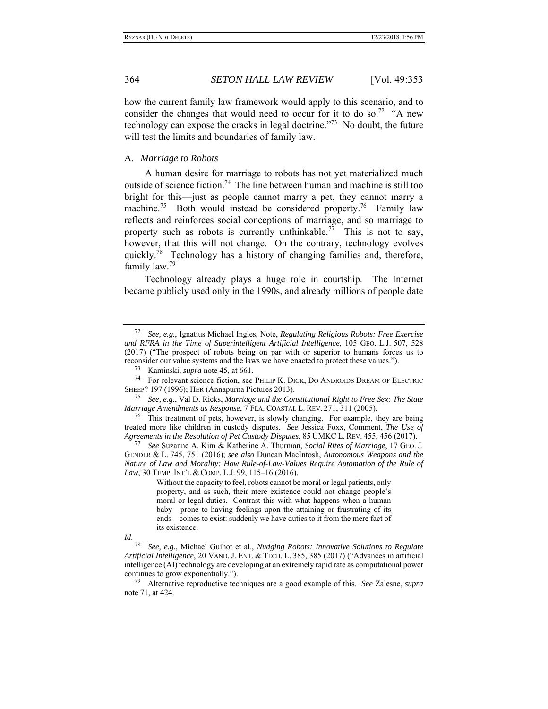how the current family law framework would apply to this scenario, and to consider the changes that would need to occur for it to do so.<sup>72</sup> "A new technology can expose the cracks in legal doctrine. $173$  No doubt, the future will test the limits and boundaries of family law.

### A. *Marriage to Robots*

A human desire for marriage to robots has not yet materialized much outside of science fiction.<sup>74</sup> The line between human and machine is still too bright for this—just as people cannot marry a pet, they cannot marry a machine.<sup>75</sup> Both would instead be considered property.<sup>76</sup> Family law reflects and reinforces social conceptions of marriage, and so marriage to property such as robots is currently unthinkable.<sup>77</sup> This is not to say, however, that this will not change. On the contrary, technology evolves quickly.<sup>78</sup> Technology has a history of changing families and, therefore, family law.<sup>79</sup>

Technology already plays a huge role in courtship. The Internet became publicly used only in the 1990s, and already millions of people date

#### *Id.*

<sup>72</sup> *See, e.g.*, Ignatius Michael Ingles, Note, *Regulating Religious Robots: Free Exercise and RFRA in the Time of Superintelligent Artificial Intelligence*, 105 GEO. L.J. 507, 528 (2017) ("The prospect of robots being on par with or superior to humans forces us to reconsider our value systems and the laws we have enacted to protect these values.").

<sup>73</sup> Kaminski, *supra* note 45, at 661.

<sup>74</sup> For relevant science fiction, see PHILIP K. DICK, DO ANDROIDS DREAM OF ELECTRIC SHEEP? 197 (1996); HER (Annapurna Pictures 2013). 75 *See, e.g.*, Val D. Ricks, *Marriage and the Constitutional Right to Free Sex: The State* 

*Marriage Amendments as Response*, 7 FLA. COASTAL L. REV. 271, 311 (2005).

<sup>76</sup> This treatment of pets, however, is slowly changing. For example, they are being treated more like children in custody disputes. *See* Jessica Foxx, Comment, *The Use of* 

*Agreements in the Resolution of Pet Custody Disputes*, 85 UMKC L. REV. 455, 456 (2017). 77 *See* Suzanne A. Kim & Katherine A. Thurman, *Social Rites of Marriage*, 17 GEO. J. GENDER & L. 745, 751 (2016); *see also* Duncan MacIntosh, *Autonomous Weapons and the Nature of Law and Morality: How Rule-of-Law-Values Require Automation of the Rule of Law*, 30 TEMP. INT'L & COMP. L.J. 99, 115–16 (2016).

Without the capacity to feel, robots cannot be moral or legal patients, only property, and as such, their mere existence could not change people's moral or legal duties. Contrast this with what happens when a human baby—prone to having feelings upon the attaining or frustrating of its ends—comes to exist: suddenly we have duties to it from the mere fact of its existence.

<sup>78</sup> *See, e.g.*, Michael Guihot et al., *Nudging Robots: Innovative Solutions to Regulate Artificial Intelligence*, 20 VAND. J. ENT. & TECH. L. 385, 385 (2017) ("Advances in artificial intelligence (AI) technology are developing at an extremely rapid rate as computational power continues to grow exponentially.").

<sup>79</sup> Alternative reproductive techniques are a good example of this. *See* Zalesne, *supra* note 71, at 424.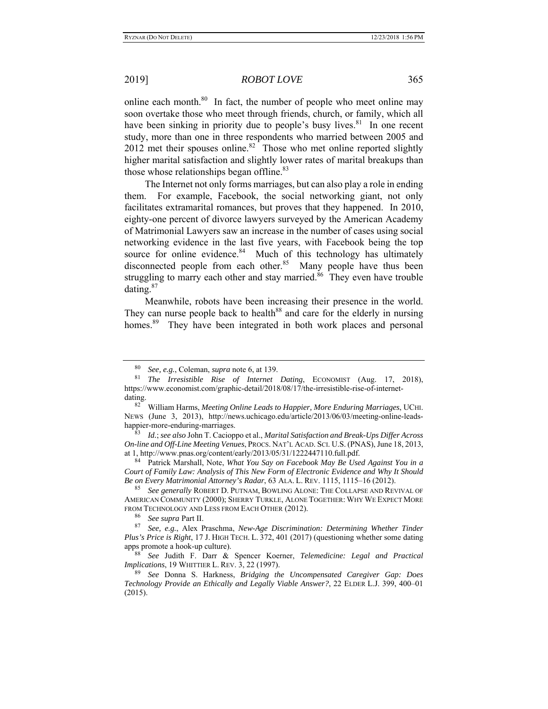online each month.<sup>80</sup> In fact, the number of people who meet online may soon overtake those who meet through friends, church, or family, which all have been sinking in priority due to people's busy lives. $81$  In one recent study, more than one in three respondents who married between 2005 and  $2012$  met their spouses online.<sup>82</sup> Those who met online reported slightly higher marital satisfaction and slightly lower rates of marital breakups than those whose relationships began offline.<sup>83</sup>

The Internet not only forms marriages, but can also play a role in ending them. For example, Facebook, the social networking giant, not only facilitates extramarital romances, but proves that they happened. In 2010, eighty-one percent of divorce lawyers surveyed by the American Academy of Matrimonial Lawyers saw an increase in the number of cases using social networking evidence in the last five years, with Facebook being the top source for online evidence. $84$  Much of this technology has ultimately disconnected people from each other.<sup>85</sup> Many people have thus been struggling to marry each other and stay married.<sup>86</sup> They even have trouble dating.87

Meanwhile, robots have been increasing their presence in the world. They can nurse people back to health<sup>88</sup> and care for the elderly in nursing homes.<sup>89</sup> They have been integrated in both work places and personal

84 Patrick Marshall, Note, *What You Say on Facebook May Be Used Against You in a Court of Family Law: Analysis of This New Form of Electronic Evidence and Why It Should Be on Every Matrimonial Attorney's Radar*, 63 ALA. L. REV. 1115, 1115–16 (2012).

85 *See generally* ROBERT D. PUTNAM, BOWLING ALONE: THE COLLAPSE AND REVIVAL OF AMERICAN COMMUNITY (2000); SHERRY TURKLE, ALONE TOGETHER: WHY WE EXPECT MORE FROM TECHNOLOGY AND LESS FROM EACH OTHER (2012).

<sup>80</sup> *See, e.g.*, Coleman, *supra* note 6, at 139.

<sup>81</sup> *The Irresistible Rise of Internet Dating*, ECONOMIST (Aug. 17, 2018), https://www.economist.com/graphic-detail/2018/08/17/the-irresistible-rise-of-internetdating.

<sup>82</sup> William Harms, *Meeting Online Leads to Happier, More Enduring Marriages*, UCHI. NEWS (June 3, 2013), http://news.uchicago.edu/article/2013/06/03/meeting-online-leadshappier-more-enduring-marriages.

<sup>83</sup> *Id.*; *see also* John T. Cacioppo et al., *Marital Satisfaction and Break-Ups Differ Across On-line and Off-Line Meeting Venues*, PROCS. NAT'L ACAD. SCI. U.S. (PNAS), June 18, 2013, at 1, http://www.pnas.org/content/early/2013/05/31/1222447110.full.pdf.

<sup>86</sup> *See supra* Part II.

<sup>87</sup> *See, e.g.*, Alex Praschma, *New-Age Discrimination: Determining Whether Tinder Plus's Price is Right*, 17 J. HIGH TECH. L. 372, 401 (2017) (questioning whether some dating apps promote a hook-up culture).

<sup>88</sup> *See* Judith F. Darr & Spencer Koerner, *Telemedicine: Legal and Practical Implications*, 19 WHITTIER L. REV. 3, 22 (1997).

<sup>89</sup> *See* Donna S. Harkness, *Bridging the Uncompensated Caregiver Gap: Does Technology Provide an Ethically and Legally Viable Answer?*, 22 ELDER L.J. 399, 400–01 (2015).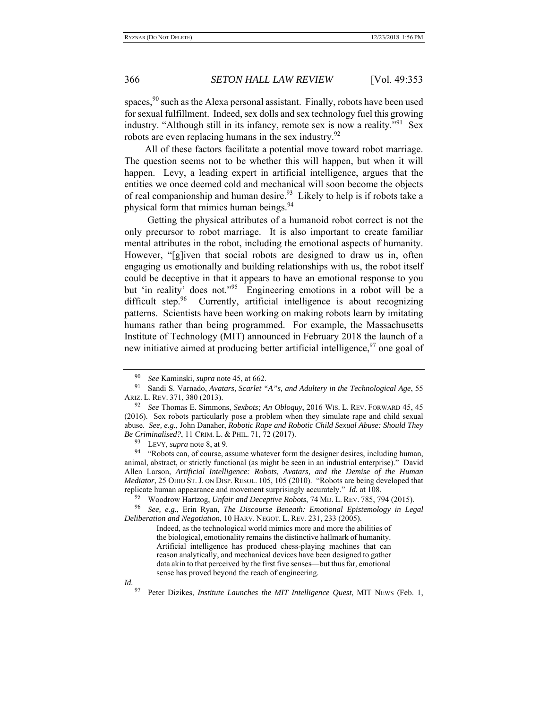spaces,  $90$  such as the Alexa personal assistant. Finally, robots have been used for sexual fulfillment. Indeed, sex dolls and sex technology fuel this growing industry. "Although still in its infancy, remote sex is now a reality."<sup>91</sup> Sex robots are even replacing humans in the sex industry. $92$ 

All of these factors facilitate a potential move toward robot marriage. The question seems not to be whether this will happen, but when it will happen. Levy, a leading expert in artificial intelligence, argues that the entities we once deemed cold and mechanical will soon become the objects of real companionship and human desire.<sup>93</sup> Likely to help is if robots take a physical form that mimics human beings.<sup>94</sup>

 Getting the physical attributes of a humanoid robot correct is not the only precursor to robot marriage. It is also important to create familiar mental attributes in the robot, including the emotional aspects of humanity. However, "[g]iven that social robots are designed to draw us in, often engaging us emotionally and building relationships with us, the robot itself could be deceptive in that it appears to have an emotional response to you but 'in reality' does not."<sup>95</sup> Engineering emotions in a robot will be a difficult step. $96$  Currently, artificial intelligence is about recognizing patterns. Scientists have been working on making robots learn by imitating humans rather than being programmed. For example, the Massachusetts Institute of Technology (MIT) announced in February 2018 the launch of a new initiative aimed at producing better artificial intelligence,  $97$  one goal of

93 LEVY, *supra* note 8, at 9.

<sup>94</sup> "Robots can, of course, assume whatever form the designer desires, including human, animal, abstract, or strictly functional (as might be seen in an industrial enterprise)." David Allen Larson, *Artificial Intelligence: Robots, Avatars, and the Demise of the Human Mediator*, 25 OHIO ST.J. ON DISP. RESOL. 105, 105 (2010). "Robots are being developed that replicate human appearance and movement surprisingly accurately." *Id.* at 108.

95 Woodrow Hartzog, *Unfair and Deceptive Robots*, 74 MD. L. REV. 785, 794 (2015).

96 *See, e.g.*, Erin Ryan, *The Discourse Beneath: Emotional Epistemology in Legal Deliberation and Negotiation*, 10 HARV. NEGOT. L. REV. 231, 233 (2005).

> Indeed, as the technological world mimics more and more the abilities of the biological, emotionality remains the distinctive hallmark of humanity. Artificial intelligence has produced chess-playing machines that can reason analytically, and mechanical devices have been designed to gather data akin to that perceived by the first five senses—but thus far, emotional sense has proved beyond the reach of engineering.

*Id.*

<sup>90</sup> *See* Kaminski, *supra* note 45, at 662.

Sandi S. Varnado, *Avatars, Scarlet "A"s, and Adultery in the Technological Age*, 55 ARIZ. L. REV. 371, 380 (2013).

<sup>92</sup> *See* Thomas E. Simmons, *Sexbots; An Obloquy*, 2016 WIS. L. REV. FORWARD 45, 45 (2016). Sex robots particularly pose a problem when they simulate rape and child sexual abuse. *See, e.g.*, John Danaher, *Robotic Rape and Robotic Child Sexual Abuse: Should They Be Criminalised?*, 11 CRIM. L. & PHIL. 71, 72 (2017).

<sup>97</sup> Peter Dizikes, *Institute Launches the MIT Intelligence Quest*, MIT NEWS (Feb. 1,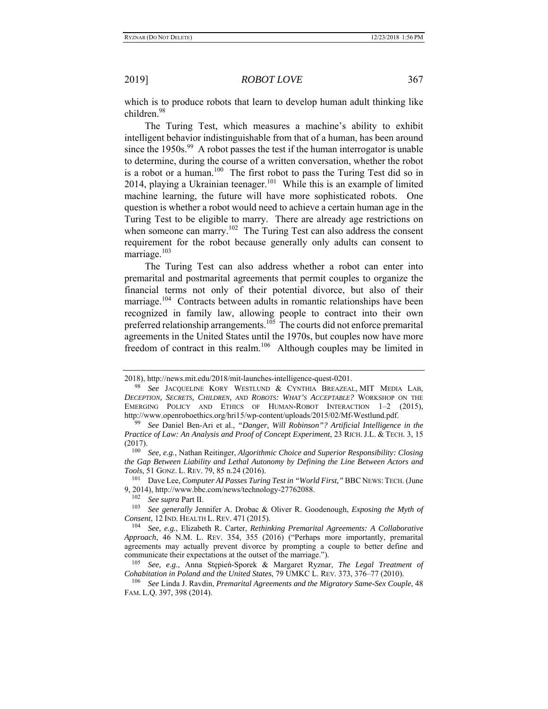which is to produce robots that learn to develop human adult thinking like children.98

The Turing Test, which measures a machine's ability to exhibit intelligent behavior indistinguishable from that of a human, has been around since the 1950s.<sup>99</sup> A robot passes the test if the human interrogator is unable to determine, during the course of a written conversation, whether the robot is a robot or a human.<sup>100</sup> The first robot to pass the Turing Test did so in 2014, playing a Ukrainian teenager.<sup>101</sup> While this is an example of limited machine learning, the future will have more sophisticated robots. One question is whether a robot would need to achieve a certain human age in the Turing Test to be eligible to marry. There are already age restrictions on when someone can marry.<sup>102</sup> The Turing Test can also address the consent requirement for the robot because generally only adults can consent to marriage. $103$ 

The Turing Test can also address whether a robot can enter into premarital and postmarital agreements that permit couples to organize the financial terms not only of their potential divorce, but also of their marriage.<sup>104</sup> Contracts between adults in romantic relationships have been recognized in family law, allowing people to contract into their own preferred relationship arrangements.<sup>105</sup> The courts did not enforce premarital agreements in the United States until the 1970s, but couples now have more freedom of contract in this realm.106 Although couples may be limited in

<sup>2018),</sup> http://news.mit.edu/2018/mit-launches-intelligence-quest-0201.

<sup>98</sup> *See* JACQUELINE KORY WESTLUND & CYNTHIA BREAZEAL, MIT MEDIA LAB, *DECEPTION, SECRETS, CHILDREN, AND ROBOTS: WHAT'S ACCEPTABLE?* WORKSHOP ON THE EMERGING POLICY AND ETHICS OF HUMAN-ROBOT INTERACTION 1–2 (2015), http://www.openroboethics.org/hri15/wp-content/uploads/2015/02/Mf-Westlund.pdf.

<sup>99</sup> *See* Daniel Ben-Ari et al., *"Danger, Will Robinson"? Artificial Intelligence in the Practice of Law: An Analysis and Proof of Concept Experiment*, 23 RICH. J.L. & TECH. 3, 15 (2017).

<sup>100</sup> *See, e.g.*, Nathan Reitinger, *Algorithmic Choice and Superior Responsibility: Closing the Gap Between Liability and Lethal Autonomy by Defining the Line Between Actors and Tools*, 51 GONZ. L. REV. 79, 85 n.24 (2016).

<sup>101</sup> Dave Lee, *Computer AI Passes Turing Test in "World First,"* BBC NEWS: TECH. (June 9, 2014), http://www.bbc.com/news/technology-27762088.

See supra Part II.

<sup>103</sup> *See generally* Jennifer A. Drobac & Oliver R. Goodenough, *Exposing the Myth of Consent*, 12 IND. HEALTH L. REV. 471 (2015).

<sup>104</sup> *See, e.g.*, Elizabeth R. Carter, *Rethinking Premarital Agreements: A Collaborative Approach*, 46 N.M. L. REV. 354, 355 (2016) ("Perhaps more importantly, premarital agreements may actually prevent divorce by prompting a couple to better define and communicate their expectations at the outset of the marriage."). 105 *See, e.g.*, Anna Stępień-Sporek & Margaret Ryznar, *The Legal Treatment of* 

*Cohabitation in Poland and the United States*, 79 UMKC L. REV. 373, 376–77 (2010).

<sup>106</sup> *See* Linda J. Ravdin, *Premarital Agreements and the Migratory Same-Sex Couple*, 48 FAM. L.Q. 397, 398 (2014).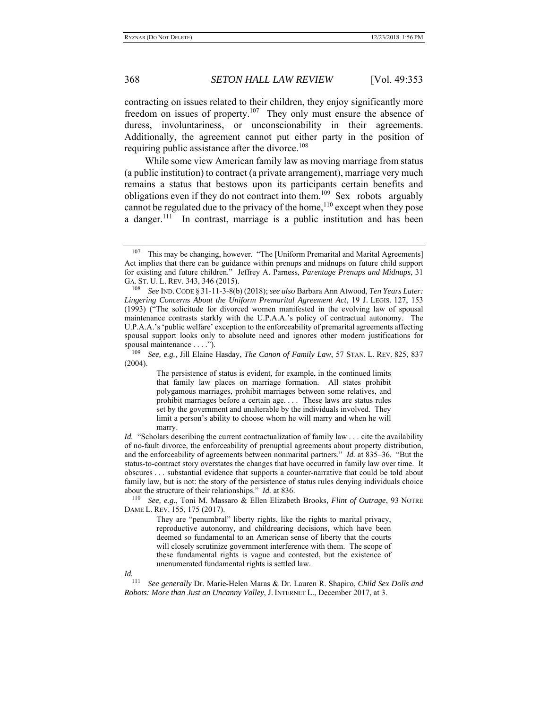contracting on issues related to their children, they enjoy significantly more freedom on issues of property.107 They only must ensure the absence of duress, involuntariness, or unconscionability in their agreements. Additionally, the agreement cannot put either party in the position of requiring public assistance after the divorce.<sup>108</sup>

While some view American family law as moving marriage from status (a public institution) to contract (a private arrangement), marriage very much remains a status that bestows upon its participants certain benefits and obligations even if they do not contract into them.109 Sex robots arguably cannot be regulated due to the privacy of the home,<sup>110</sup> except when they pose a danger.<sup>111</sup> In contrast, marriage is a public institution and has been

The persistence of status is evident, for example, in the continued limits that family law places on marriage formation. All states prohibit polygamous marriages, prohibit marriages between some relatives, and prohibit marriages before a certain age. . . . These laws are status rules set by the government and unalterable by the individuals involved. They limit a person's ability to choose whom he will marry and when he will marry.

*Id.* "Scholars describing the current contractualization of family law . . . cite the availability of no-fault divorce, the enforceability of prenuptial agreements about property distribution, and the enforceability of agreements between nonmarital partners." *Id.* at 835–36. "But the status-to-contract story overstates the changes that have occurred in family law over time. It obscures . . . substantial evidence that supports a counter-narrative that could be told about family law, but is not: the story of the persistence of status rules denying individuals choice about the structure of their relationships." *Id.* at 836.

110 *See, e.g.*, Toni M. Massaro & Ellen Elizabeth Brooks, *Flint of Outrage*, 93 NOTRE DAME L. REV. 155, 175 (2017).

They are "penumbral" liberty rights, like the rights to marital privacy, reproductive autonomy, and childrearing decisions, which have been deemed so fundamental to an American sense of liberty that the courts will closely scrutinize government interference with them. The scope of these fundamental rights is vague and contested, but the existence of unenumerated fundamental rights is settled law.

*Id.*

111 *See generally* Dr. Marie-Helen Maras & Dr. Lauren R. Shapiro, *Child Sex Dolls and Robots: More than Just an Uncanny Valley*, J. INTERNET L., December 2017, at 3.

<sup>&</sup>lt;sup>107</sup> This may be changing, however. "The [Uniform Premarital and Marital Agreements] Act implies that there can be guidance within prenups and midnups on future child support for existing and future children." Jeffrey A. Parness, *Parentage Prenups and Midnups*, 31 GA. ST. U. L. REV. 343, 346 (2015).

<sup>108</sup> *See* IND. CODE § 31-11-3-8(b) (2018); *see also* Barbara Ann Atwood, *Ten Years Later: Lingering Concerns About the Uniform Premarital Agreement Act*, 19 J. LEGIS. 127, 153 (1993) ("The solicitude for divorced women manifested in the evolving law of spousal maintenance contrasts starkly with the U.P.A.A.'s policy of contractual autonomy. The U.P.A.A.'s 'public welfare' exception to the enforceability of premarital agreements affecting spousal support looks only to absolute need and ignores other modern justifications for spousal maintenance . . . .").

<sup>109</sup> *See, e.g.*, Jill Elaine Hasday, *The Canon of Family Law*, 57 STAN. L. REV. 825, 837 (2004).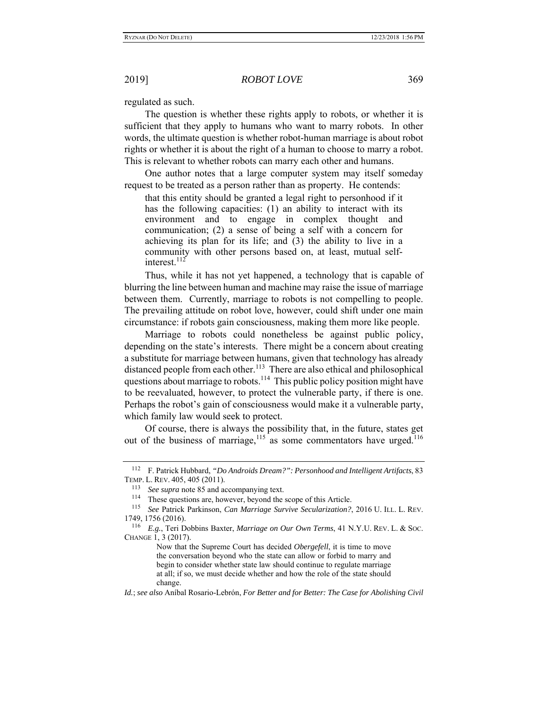regulated as such.

The question is whether these rights apply to robots, or whether it is sufficient that they apply to humans who want to marry robots. In other words, the ultimate question is whether robot-human marriage is about robot rights or whether it is about the right of a human to choose to marry a robot. This is relevant to whether robots can marry each other and humans.

One author notes that a large computer system may itself someday request to be treated as a person rather than as property. He contends:

that this entity should be granted a legal right to personhood if it has the following capacities: (1) an ability to interact with its environment and to engage in complex thought and communication; (2) a sense of being a self with a concern for achieving its plan for its life; and (3) the ability to live in a community with other persons based on, at least, mutual selfinterest.<sup>112</sup>

Thus, while it has not yet happened, a technology that is capable of blurring the line between human and machine may raise the issue of marriage between them. Currently, marriage to robots is not compelling to people. The prevailing attitude on robot love, however, could shift under one main circumstance: if robots gain consciousness, making them more like people.

Marriage to robots could nonetheless be against public policy, depending on the state's interests. There might be a concern about creating a substitute for marriage between humans, given that technology has already distanced people from each other.<sup>113</sup> There are also ethical and philosophical questions about marriage to robots.<sup>114</sup> This public policy position might have to be reevaluated, however, to protect the vulnerable party, if there is one. Perhaps the robot's gain of consciousness would make it a vulnerable party, which family law would seek to protect.

Of course, there is always the possibility that, in the future, states get out of the business of marriage,<sup>115</sup> as some commentators have urged.<sup>116</sup>

<sup>112</sup> F. Patrick Hubbard, *"Do Androids Dream?": Personhood and Intelligent Artifacts*, 83 TEMP. L. REV. 405, 405 (2011).

<sup>113</sup>*See supra* note 85 and accompanying text. 114 These questions are, however, beyond the scope of this Article. 115 *See* Patrick Parkinson, *Can Marriage Survive Secularization?*, 2016 U. ILL. L. REV. 1749, 1756 (2016).

<sup>116</sup> *E.g.*, Teri Dobbins Baxter, *Marriage on Our Own Terms*, 41 N.Y.U. REV. L. & SOC. CHANGE 1, 3 (2017).

Now that the Supreme Court has decided *Obergefell*, it is time to move the conversation beyond who the state can allow or forbid to marry and begin to consider whether state law should continue to regulate marriage at all; if so, we must decide whether and how the role of the state should change.

*Id.*; *see also* Aníbal Rosario-Lebrón, *For Better and for Better: The Case for Abolishing Civil*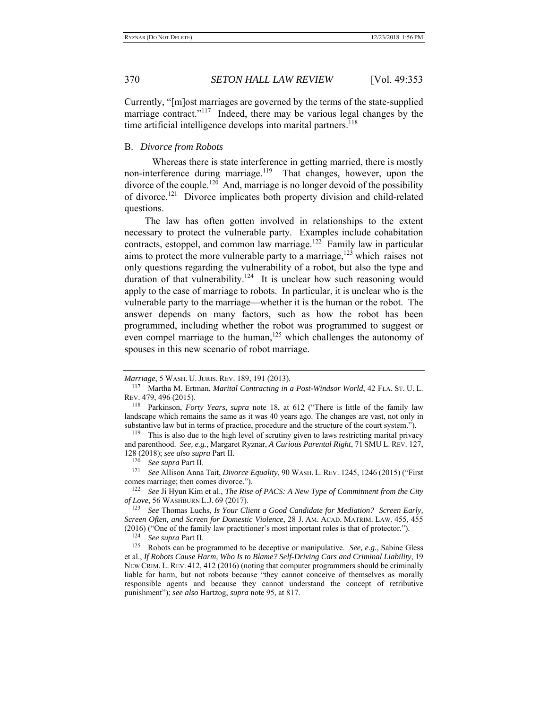Currently, "[m]ost marriages are governed by the terms of the state-supplied marriage contract."<sup>117</sup> Indeed, there may be various legal changes by the time artificial intelligence develops into marital partners.<sup>118</sup>

#### B. *Divorce from Robots*

 Whereas there is state interference in getting married, there is mostly non-interference during marriage.<sup>119</sup> That changes, however, upon the divorce of the couple.<sup>120</sup> And, marriage is no longer devoid of the possibility of divorce.121 Divorce implicates both property division and child-related questions.

The law has often gotten involved in relationships to the extent necessary to protect the vulnerable party. Examples include cohabitation contracts, estoppel, and common law marriage.<sup>122</sup> Family law in particular aims to protect the more vulnerable party to a marriage, $123$  which raises not only questions regarding the vulnerability of a robot, but also the type and duration of that vulnerability.<sup>124</sup> It is unclear how such reasoning would apply to the case of marriage to robots. In particular, it is unclear who is the vulnerable party to the marriage—whether it is the human or the robot. The answer depends on many factors, such as how the robot has been programmed, including whether the robot was programmed to suggest or even compel marriage to the human, $125$  which challenges the autonomy of spouses in this new scenario of robot marriage.

*Marriage*, 5 WASH. U. JURIS. REV. 189, 191 (2013).

<sup>117</sup> Martha M. Ertman, *Marital Contracting in a Post-Windsor World*, 42 FLA. ST. U. L. REV. 479, 496 (2015).

<sup>118</sup> Parkinson, *Forty Years*, *supra* note 18, at 612 ("There is little of the family law landscape which remains the same as it was 40 years ago. The changes are vast, not only in substantive law but in terms of practice, procedure and the structure of the court system.").

<sup>&</sup>lt;sup>119</sup> This is also due to the high level of scrutiny given to laws restricting marital privacy and parenthood. *See, e.g.*, Margaret Ryznar, *A Curious Parental Right*, 71 SMU L. REV. 127, 128 (2018); *see also supra* Part II.

<sup>&</sup>lt;sup>121</sup> See Allison Anna Tait, *Divorce Equality*, 90 WASH. L. REV. 1245, 1246 (2015) ("First comes marriage; then comes divorce."). 122 *See* Ji Hyun Kim et al., *The Rise of PACS: A New Type of Commitment from the City* 

*of Love*, 56 WASHBURN L.J. 69 (2017).

<sup>123</sup> *See* Thomas Luchs, *Is Your Client a Good Candidate for Mediation? Screen Early, Screen Often, and Screen for Domestic Violence*, 28 J. AM. ACAD. MATRIM. LAW. 455, 455 (2016) ("One of the family law practitioner's most important roles is that of protector."). 124 *See supra* Part II.

<sup>125</sup> Robots can be programmed to be deceptive or manipulative. *See, e.g.*, Sabine Gless et al., *If Robots Cause Harm, Who Is to Blame? Self-Driving Cars and Criminal Liability*, 19 NEW CRIM. L. REV. 412, 412 (2016) (noting that computer programmers should be criminally liable for harm, but not robots because "they cannot conceive of themselves as morally responsible agents and because they cannot understand the concept of retributive punishment"); *see also* Hartzog, *supra* note 95, at 817.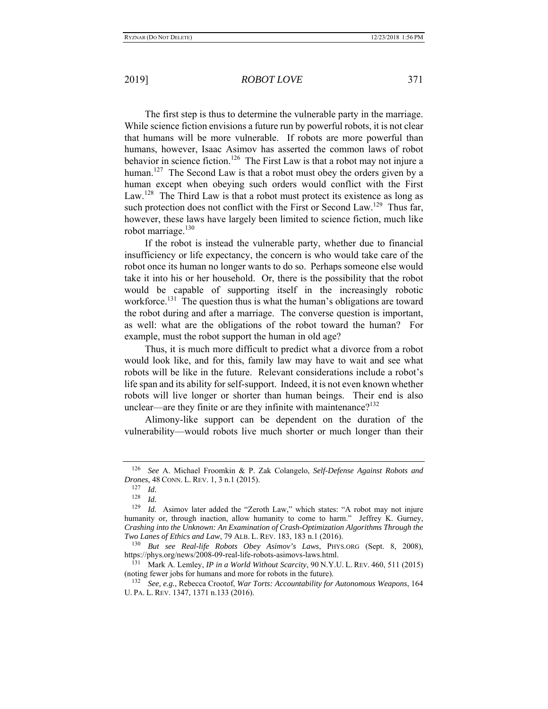The first step is thus to determine the vulnerable party in the marriage. While science fiction envisions a future run by powerful robots, it is not clear that humans will be more vulnerable. If robots are more powerful than humans, however, Isaac Asimov has asserted the common laws of robot behavior in science fiction.<sup>126</sup> The First Law is that a robot may not injure a human.<sup>127</sup> The Second Law is that a robot must obey the orders given by a human except when obeying such orders would conflict with the First Law.<sup>128</sup> The Third Law is that a robot must protect its existence as long as such protection does not conflict with the First or Second Law.<sup>129</sup> Thus far, however, these laws have largely been limited to science fiction, much like robot marriage. $130$ 

If the robot is instead the vulnerable party, whether due to financial insufficiency or life expectancy, the concern is who would take care of the robot once its human no longer wants to do so. Perhaps someone else would take it into his or her household. Or, there is the possibility that the robot would be capable of supporting itself in the increasingly robotic workforce.<sup>131</sup> The question thus is what the human's obligations are toward the robot during and after a marriage. The converse question is important, as well: what are the obligations of the robot toward the human? For example, must the robot support the human in old age?

Thus, it is much more difficult to predict what a divorce from a robot would look like, and for this, family law may have to wait and see what robots will be like in the future. Relevant considerations include a robot's life span and its ability for self-support. Indeed, it is not even known whether robots will live longer or shorter than human beings. Their end is also unclear—are they finite or are they infinite with maintenance?<sup>132</sup>

Alimony-like support can be dependent on the duration of the vulnerability—would robots live much shorter or much longer than their

<sup>126</sup> *See* A. Michael Froomkin & P. Zak Colangelo, *Self-Defense Against Robots and Drones*, 48 CONN. L. REV. 1, 3 n.1 (2015).

 $\frac{127}{128}$  *Id.* 

 $\frac{128}{129}$  *Id.* 

*Id.* Asimov later added the "Zeroth Law," which states: "A robot may not injure humanity or, through inaction, allow humanity to come to harm." Jeffrey K. Gurney, *Crashing into the Unknown: An Examination of Crash-Optimization Algorithms Through the Two Lanes of Ethics and Law*, 79 ALB. L. REV. 183, 183 n.1 (2016).

<sup>130</sup> *But see Real-life Robots Obey Asimov's Laws*, PHYS.ORG (Sept. 8, 2008), https://phys.org/news/2008-09-real-life-robots-asimovs-laws.html.

<sup>131</sup> Mark A. Lemley, *IP in a World Without Scarcity*, 90 N.Y.U. L. REV. 460, 511 (2015) (noting fewer jobs for humans and more for robots in the future).

<sup>132</sup> *See, e.g.*, Rebecca Crootof, *War Torts: Accountability for Autonomous Weapons*, 164 U. PA. L. REV. 1347, 1371 n.133 (2016).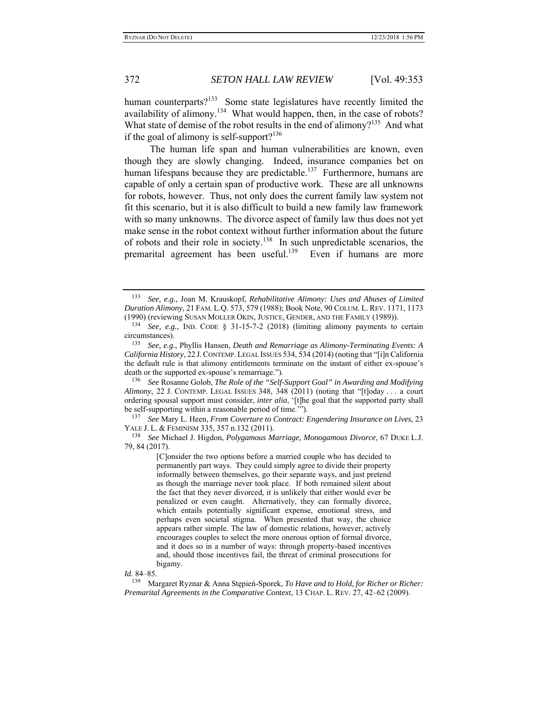human counterparts? $133$  Some state legislatures have recently limited the availability of alimony.<sup>134</sup> What would happen, then, in the case of robots? What state of demise of the robot results in the end of alimony?<sup>135</sup> And what if the goal of alimony is self-support?<sup>136</sup>

 The human life span and human vulnerabilities are known, even though they are slowly changing. Indeed, insurance companies bet on human lifespans because they are predictable.<sup>137</sup> Furthermore, humans are capable of only a certain span of productive work. These are all unknowns for robots, however. Thus, not only does the current family law system not fit this scenario, but it is also difficult to build a new family law framework with so many unknowns. The divorce aspect of family law thus does not yet make sense in the robot context without further information about the future of robots and their role in society.<sup>138</sup> In such unpredictable scenarios, the premarital agreement has been useful.<sup>139</sup> Even if humans are more

136 *See* Rosanne Golob, *The Role of the "Self-Support Goal" in Awarding and Modifying Alimony*, 22 J. CONTEMP. LEGAL ISSUES 348, 348 (2011) (noting that "[t]oday . . . a court ordering spousal support must consider, *inter alia*, '[t]he goal that the supported party shall be self-supporting within a reasonable period of time.'").

137 *See* Mary L. Heen, *From Coverture to Contract: Engendering Insurance on Lives*, 23 YALE J. L. & FEMINISM 335, 357 n.132 (2011).

138 *See* Michael J. Higdon, *Polygamous Marriage, Monogamous Divorce*, 67 DUKE L.J. 79, 84 (2017).

> [C]onsider the two options before a married couple who has decided to permanently part ways. They could simply agree to divide their property informally between themselves, go their separate ways, and just pretend as though the marriage never took place. If both remained silent about the fact that they never divorced, it is unlikely that either would ever be penalized or even caught. Alternatively, they can formally divorce, which entails potentially significant expense, emotional stress, and perhaps even societal stigma. When presented that way, the choice appears rather simple. The law of domestic relations, however, actively encourages couples to select the more onerous option of formal divorce, and it does so in a number of ways: through property-based incentives and, should those incentives fail, the threat of criminal prosecutions for bigamy.

*Id.* 84–85.

<sup>133</sup> *See, e.g.*, Joan M. Krauskopf, *Rehabilitative Alimony: Uses and Abuses of Limited Duration Alimony*, 21 FAM. L.Q. 573, 579 (1988); Book Note, 90 COLUM. L. REV. 1171, 1173 (1990) (reviewing SUSAN MOLLER OKIN, JUSTICE, GENDER, AND THE FAMILY (1989)).

<sup>134</sup> *See, e.g.*, IND. CODE § 31-15-7-2 (2018) (limiting alimony payments to certain circumstances).

<sup>135</sup> *See, e.g.*, Phyllis Hansen, *Death and Remarriage as Alimony-Terminating Events: A California History*, 22 J.CONTEMP. LEGAL ISSUES 534, 534 (2014) (noting that "[i]n California the default rule is that alimony entitlements terminate on the instant of either ex-spouse's death or the supported ex-spouse's remarriage.").

<sup>139</sup> Margaret Ryznar & Anna Stępień-Sporek, *To Have and to Hold, for Richer or Richer: Premarital Agreements in the Comparative Context*, 13 CHAP. L. REV. 27, 42–62 (2009).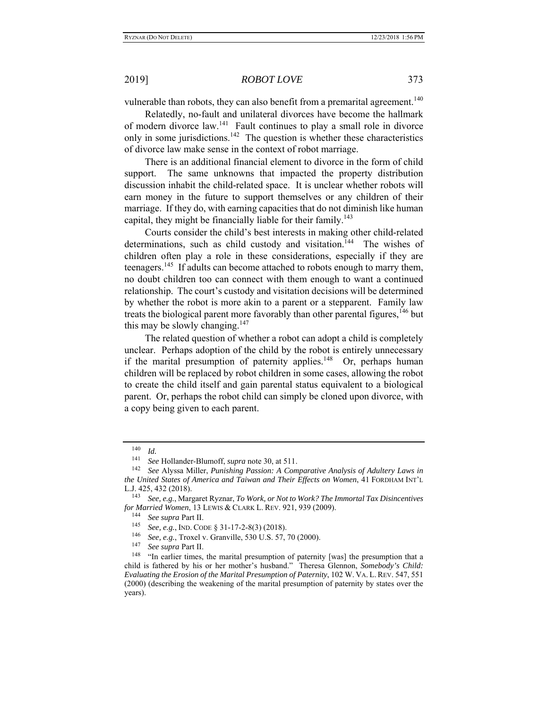vulnerable than robots, they can also benefit from a premarital agreement.<sup>140</sup>

Relatedly, no-fault and unilateral divorces have become the hallmark of modern divorce law.<sup>141</sup> Fault continues to play a small role in divorce only in some jurisdictions.<sup>142</sup> The question is whether these characteristics of divorce law make sense in the context of robot marriage.

There is an additional financial element to divorce in the form of child support. The same unknowns that impacted the property distribution discussion inhabit the child-related space. It is unclear whether robots will earn money in the future to support themselves or any children of their marriage. If they do, with earning capacities that do not diminish like human capital, they might be financially liable for their family.<sup>143</sup>

Courts consider the child's best interests in making other child-related determinations, such as child custody and visitation.<sup>144</sup> The wishes of children often play a role in these considerations, especially if they are teenagers.<sup>145</sup> If adults can become attached to robots enough to marry them, no doubt children too can connect with them enough to want a continued relationship. The court's custody and visitation decisions will be determined by whether the robot is more akin to a parent or a stepparent. Family law treats the biological parent more favorably than other parental figures,  $146$  but this may be slowly changing. $147$ 

The related question of whether a robot can adopt a child is completely unclear. Perhaps adoption of the child by the robot is entirely unnecessary if the marital presumption of paternity applies.<sup>148</sup> Or, perhaps human children will be replaced by robot children in some cases, allowing the robot to create the child itself and gain parental status equivalent to a biological parent. Or, perhaps the robot child can simply be cloned upon divorce, with a copy being given to each parent.

 $\frac{140}{141}$  *Id.* 

<sup>&</sup>lt;sup>141</sup> See Hollander-Blumoff, *supra* note 30, at 511.<br><sup>142</sup> See Alyssa Miller, *Punishing Passion: A Comparative Analysis of Adultery Laws in the United States of America and Taiwan and Their Effects on Women*, 41 FORDHAM INT'L L.J. 425, 432 (2018).

<sup>143</sup> *See, e.g.*, Margaret Ryznar, *To Work, or Not to Work? The Immortal Tax Disincentives for Married Women*, 13 LEWIS & CLARK L. REV. 921, 939 (2009).<br><sup>144</sup> *See supra* Part II.<br><sup>145</sup> *See see JPD* CODE *S* 21, 17, 2, 8(2) (2018).

<sup>145</sup> *See, e.g.*, IND. CODE § 31-17-2-8(3) (2018).

<sup>146</sup> *See, e.g.*, Troxel v. Granville, 530 U.S. 57, 70 (2000).

See supra Part II.

<sup>&</sup>lt;sup>148</sup> "In earlier times, the marital presumption of paternity [was] the presumption that a child is fathered by his or her mother's husband." Theresa Glennon, *Somebody's Child: Evaluating the Erosion of the Marital Presumption of Paternity*, 102 W. VA. L. REV. 547, 551 (2000) (describing the weakening of the marital presumption of paternity by states over the years).